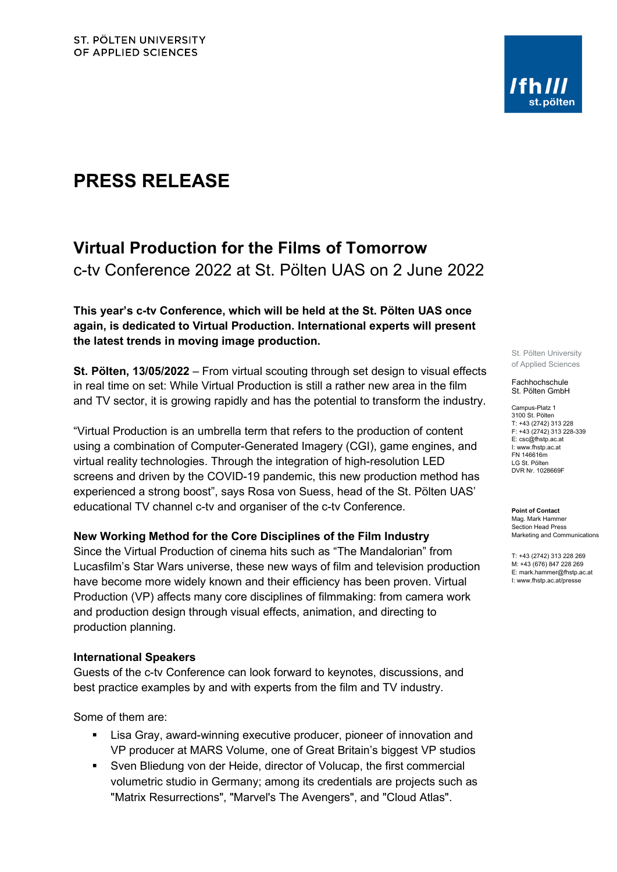# **PRESS RELEASE**

# **Virtual Production for the Films of Tomorrow** c-tv Conference 2022 at St. Pölten UAS on 2 June 2022

**This year's c-tv Conference, which will be held at the St. Pölten UAS once again, is dedicated to Virtual Production. International experts will present the latest trends in moving image production.**

**St. Pölten, 13/05/2022** – From virtual scouting through set design to visual effects in real time on set: While Virtual Production is still a rather new area in the film and TV sector, it is growing rapidly and has the potential to transform the industry.

"Virtual Production is an umbrella term that refers to the production of content using a combination of Computer-Generated Imagery (CGI), game engines, and virtual reality technologies. Through the integration of high-resolution LED screens and driven by the COVID-19 pandemic, this new production method has experienced a strong boost", says Rosa von Suess, head of the St. Pölten UAS' educational TV channel c-tv and organiser of the c-tv Conference.

## **New Working Method for the Core Disciplines of the Film Industry**

Since the Virtual Production of cinema hits such as "The Mandalorian" from Lucasfilm's Star Wars universe, these new ways of film and television production have become more widely known and their efficiency has been proven. Virtual Production (VP) affects many core disciplines of filmmaking: from camera work and production design through visual effects, animation, and directing to production planning.

## **International Speakers**

Guests of the c-tv Conference can look forward to keynotes, discussions, and best practice examples by and with experts from the film and TV industry.

Some of them are:

- Lisa Gray, award-winning executive producer, pioneer of innovation and VP producer at MARS Volume, one of Great Britain's biggest VP studios
- Sven Bliedung von der Heide, director of Volucap, the first commercial volumetric studio in Germany; among its credentials are projects such as "Matrix Resurrections", "Marvel's The Avengers", and "Cloud Atlas".

St. Pölten University of Applied Sciences

Fachhochschule St. Pölten GmbH

Campus-Platz 1 3100 St. Pölten T: +43 (2742) 313 228 F: +43 (2742) 313 228-339 E: csc@fhstp.ac.at I: www.fhstp.ac.at FN 146616m LG St. Pölten DVR Nr. 1028669F

**Point of Contact** Mag. Mark Hammer Section Head Press Marketing and Communications

T: +43 (2742) 313 228 269 M: +43 (676) 847 228 269 E: mark.hammer@fhstp.ac.at I: www.fhstp.ac.at/presse

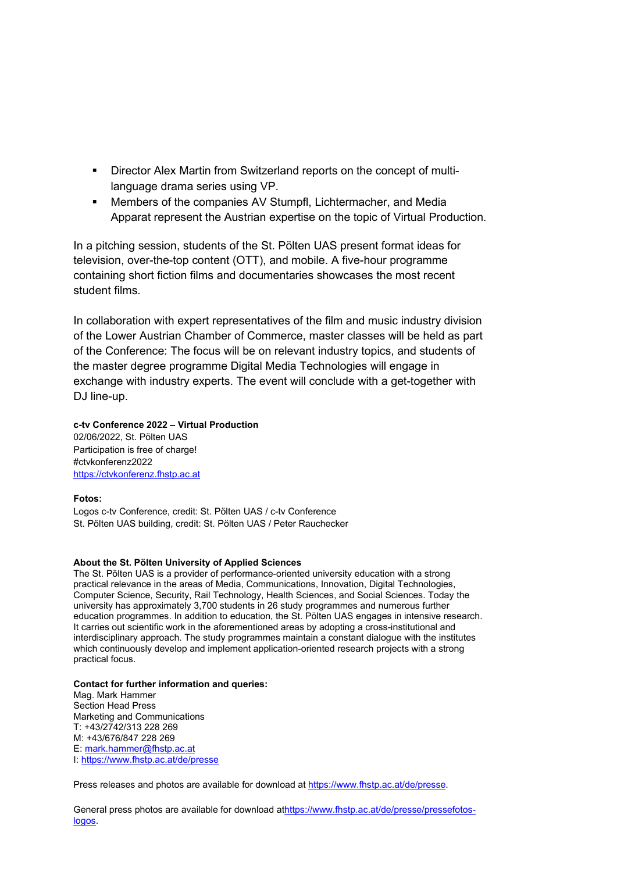- Director Alex Martin from Switzerland reports on the concept of multilanguage drama series using VP.
- Members of the companies AV Stumpfl, Lichtermacher, and Media Apparat represent the Austrian expertise on the topic of Virtual Production.

In a pitching session, students of the St. Pölten UAS present format ideas for television, over-the-top content (OTT), and mobile. A five-hour programme containing short fiction films and documentaries showcases the most recent student films.

In collaboration with expert representatives of the film and music industry division of the Lower Austrian Chamber of Commerce, master classes will be held as part of the Conference: The focus will be on relevant industry topics, and students of the master degree programme Digital Media Technologies will engage in exchange with industry experts. The event will conclude with a get-together with DJ line-up.

#### **c-tv Conference 2022 – Virtual Production**

02/06/2022, St. Pölten UAS Participation is free of charge! #ctvkonferenz2022 [https://ctvkonferenz.fhstp.ac.at](https://ctvkonferenz.fhstp.ac.at/)

#### **Fotos:**

Logos c-tv Conference, credit: St. Pölten UAS / c-tv Conference St. Pölten UAS building, credit: St. Pölten UAS / Peter Rauchecker

#### **About the St. Pölten University of Applied Sciences**

The St. Pölten UAS is a provider of performance-oriented university education with a strong practical relevance in the areas of Media, Communications, Innovation, Digital Technologies, Computer Science, Security, Rail Technology, Health Sciences, and Social Sciences. Today the university has approximately 3,700 students in 26 study programmes and numerous further education programmes. In addition to education, the St. Pölten UAS engages in intensive research. It carries out scientific work in the aforementioned areas by adopting a cross-institutional and interdisciplinary approach. The study programmes maintain a constant dialogue with the institutes which continuously develop and implement application-oriented research projects with a strong practical focus.

#### **Contact for further information and queries:**

Mag. Mark Hammer Section Head Press Marketing and Communications T: +43/2742/313 228 269 M: +43/676/847 228 269 E: [mark.hammer@fhstp.ac.at](mailto:mark.hammer@fhstp.ac.at)  I:<https://www.fhstp.ac.at/de/presse>

Press releases and photos are available for download a[t https://www.fhstp.ac.at/de/presse.](https://www.fhstp.ac.at/de/presse)

General press photos are available for download [athttps://www.fhstp.ac.at/de/presse/pressefotos](https://www.fhstp.ac.at/de/presse/pressefotos-logos)[logos.](https://www.fhstp.ac.at/de/presse/pressefotos-logos)